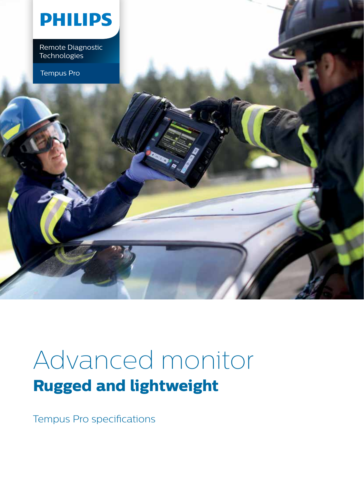

Remote Diagnostic<br>Technologies Remote Diagnostic<br>Technologies Latinum and Care and Care and Care and Care and Care and Care and Care and Care and Care and Care<br>Latinum and Care and Care and Care and Care and Care and Care and Care and Care and Care and

Tempus Pro

# Advanced monitor **Rugged and lightweight**

Tempus Pro specifications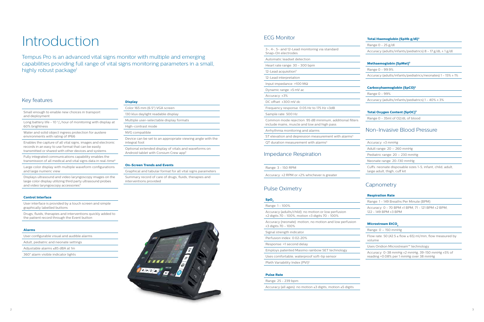## Key features

Small enough to enable new choices in transport and deployment

Long battery life - 10  $\frac{3}{4}$  hour of monitoring with display at 60% brightness

Water and solid object ingress protection for austere environments with rating of IP66

Fully integrated communications capability enables the transmission of all medical and vital signs data in real-time<sup>6</sup>

Displays ultrasound and video laryngoscopy images on the large color display utilizing third party ultrasound probes and video laryngoscopy accessories<sup>5</sup>

Enables the capture of all vital signs, images and electronic records in an easy to use format that can be easily transmitted or shared with other devices and systems

Large color display with multiple waveform configurations and large numeric view

#### **Control Interface**

Tempus Pro is an advanced vital signs monitor with multiple and emerging capabilities providing full range of vital signs monitoring parameters in a small, highly robust package<sup>1</sup>

User interface is provided by a touch screen and simple graphically labelled buttons

Drugs, fluids, therapies and interventions quickly added to the patient record through the Event button

#### **Alarms**

|  | User configurable visual and audible alarms |
|--|---------------------------------------------|
|  |                                             |

Adult, pediatric and neonate settings

Adjustable alarms ≤85 dBA at 1m

360° alarm visible indicator lights

# Introduction

#### **Display**

#### **On-Screen Trends and Events**

Graphical and tabular format for all vital signs parameters

Summary record of care of drugs, fluids, therapies and interventions provided

## ECG Monitor

Flow rate: 50 (42.5 ≤ flow ≤ 65) ml/min, flow measured by volume

| 3-, 4-, 5- and 12-Lead monitoring via standard<br>Snap-On electrodes                                    |
|---------------------------------------------------------------------------------------------------------|
| Automatic leadset detection                                                                             |
| Heart rate range: 30 - 300 bpm                                                                          |
| 12-Lead acquisition <sup>5</sup>                                                                        |
| 12-Lead interpretation                                                                                  |
| Input impedance: $>100$ M $\Omega$                                                                      |
| Dynamic range: ±5 mV ac                                                                                 |
| Accuracy: $±3%$                                                                                         |
| $DC$ offset: $\pm 300$ mV dc                                                                            |
| Frequency response: $0.05$ Hz to 175 Hz $\pm 3$ dB                                                      |
| Sample rate: 500 Hz                                                                                     |
| Common mode rejection: 95 dB minimum, additional filters<br>include mains, muscle and low and high pass |
| Arrhythmia monitoring and alarms                                                                        |
| ST elevation and depression measurement with alarms <sup>5</sup>                                        |
| QT duration measurement with alarms <sup>5</sup>                                                        |
| <b>Impedance Respiration</b>                                                                            |
| Range: 3 - 150 RPM                                                                                      |

Accuracy: ±2 RPM or ±2% whichever is greater

## Pulse Oximetry

#### **SpO2**

| Range: 1 - 100%                                                                                                  |
|------------------------------------------------------------------------------------------------------------------|
| Accuracy (adults/child): no motion or low perfusion<br>$\pm$ 2 digits 70 - 100%, motion $\pm$ 3 digits 70 - 100% |
| Accuracy (neonate): motion, no motion and low perfusion<br>$±3$ digits 70 - 100%                                 |
| Signal strength indicator                                                                                        |
| Perfusion index: 0.02-20%                                                                                        |
| Response: <1 second delay                                                                                        |
| Employs patented Masimo rainbow SET technology                                                                   |
| Uses comfortable, waterproof soft-tip sensor                                                                     |
| Pleth Variability Index (PVI) <sup>5</sup>                                                                       |

#### **Pulse Rate**

Range: 25 - 239 bpm

Accuracy (all ages): no motion ≤3 digits, motion ≤5 digits

## **Total Haemoglobin (SpHb g/dl)5**

Range 0 - 25 g/dl

Accuracy (adults/infants/pediatrics) 8 - 17 g/dL ± 1 g/dl

#### **Methaemoglobin (SpMet)5**

Range 0 - 99.9%

Accuracy (adults/infants/pediatrics/neonates) 1 - 15% ± 1%

#### **Carboxyhaemoglobin (SpCO)5**

Range 0 - 99%

Accuracy (adults/infants/pediatrics) 1 - 40% ± 3%

## **Total Oxygen Content (SpOC)5**

Range 0 - 35ml of O2/dL of blood

## Non-Invasive Blood Pressure

| Accuracy: $±3$ mmHg |  |  |
|---------------------|--|--|
|---------------------|--|--|

Adult range: 20 – 260 mmHg

Pediatric range: 20 – 230 mmHg

Neonate range: 20-130 mmHg

Cuffs: neonate disposable sizes 1-5, infant, child, adult, large adult, thigh, cuff kit

## **Capnometry**

#### **Respiration Rate**

Range: 1 - 149 Breaths Per Minute (BPM)

Accuracy: 0 - 70 BPM ±1 BPM, 71 - 121 BPM ±2 BPM, 122 - 149 BPM ±3 BPM

#### **Microstream EtCO**<sub>2</sub>

Range: 0 – 150 mmHg

Uses Oridion Microstream™ technology

Accuracy: 0-38 mmHg ±2 mmHg, 39-150 mmHg ±5% of reading +0.08% per 1 mmHg over 38 mmHg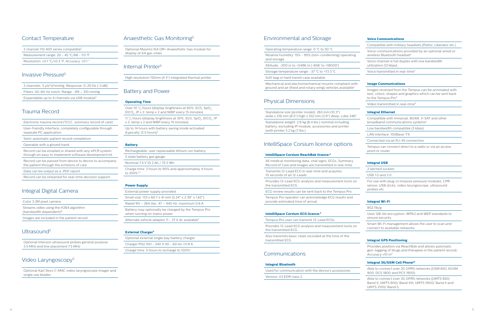## Contact Temperature

2 channel YSI 400 series compatible<sup>7</sup> Measurement range: 20 - 45 °C/68 - 113 °F Resolution: ±0.1 °C/±0.2 °F, Accuracy: ±0.1 °

## Invasive Pressure5

| 2 channels, 5 µV/V/mmHg, Response: 0-20 Hz (-3 dB)      |  |
|---------------------------------------------------------|--|
| Filters: 50-60 Hz notch, Range: $-99 - 310$ mmHg        |  |
| Expandable up to 4 channels via USB module <sup>5</sup> |  |

## Trauma Record

| Electronic trauma record (TCCC, summary record of care)                                                       |  |  |
|---------------------------------------------------------------------------------------------------------------|--|--|
| User-friendly interface, completely configurable through<br>separate PC application                           |  |  |
| Semi-automatic patient record completion                                                                      |  |  |
| Operable with a gloved hand                                                                                   |  |  |
| Record can be emailed or shared with any ePCR system<br>through an easy to implement software development kit |  |  |
| Record can be passed from device to device to accompany<br>the patient through the echelons of care           |  |  |
| Data can be output as a .PDF report                                                                           |  |  |
| Record can be streamed for real-time decision support                                                         |  |  |
|                                                                                                               |  |  |

## Integral Digital Camera

External power supply provided Small size: 133 x 60.7 x 41 mm (5.24" x 2.39" x 1.62") Rated 90 – 264 Vac, 47 – 440 Hz, maximum 0.6 A Battery may optionally be charged by the Tempus Pro when running on mains power Alternate vehicle adaptor 11 - 27 V dc available<sup>5</sup>

Optional Interson ultrasound probes general purpose 3.5 MHz and line placement 7.5 MHz

## Video Laryngoscopy<sup>5</sup>

Optional Karl Storz C-MAC video laryngoscope imager and single use blades

## Anaesthetic Gas Monitoring5

Optional Masimo ISA OR+ Anaesthetic Gas module for display of AA gas vitals

## Internal Printer5

High resolution 110mm (4.3") integrated thermal printer

Mechanical and electromechanical mounts compliant with ground and air (fixed and rotary wing) vehicles available<sup>5</sup>

## Battery and Power

## **Operating Time**

Over 10  $\frac{3}{4}$  hours (display brightness at 60%, ECG, SpO<sub>2</sub>, EtCO<sub>2</sub>, IP x 2, temp x 2 and NIBP every 15 minutes)

11  $\frac{1}{2}$  hours (display brightness at 30%, ECG, SpO $_2$ , EtCO $_2$ , IP emp x 2 and NIBP every 15 minutes)

o 14 hours with battery saving mode activated  $\int$ ically 12.5 hours)<sup>2</sup>

## t**ery**

argeable, user replaceable lithium-ion battery

te battery gas gauge

inal 7.4 V 10.2 Ah / 75.5 Wh

rge time: 3 hours to 90% and approximately 4 hours  $00\%$ <sup>3,4</sup>

## **Power Supply**

Voice communications provided by an optional wired or wireless Bluetooth headset<sup>6</sup>

Images received from the Tempus can be annotated with text, colors, shapes and graphics which can be sent back to the Tempus Pro<sup>9</sup>

Video transmitted in real-time<sup>9</sup>

## **External Charger5**

Compatible with Inmarsat, BGAN, V-SAT and other broadband communications systems<sup>6</sup>

| Optional external single bay battery charger          |  |
|-------------------------------------------------------|--|
| Charger PSU 100 - 240 V 50 - 60 Hz < 0.9 A            |  |
| Charge time: 5 hours to recharge to 100% <sup>3</sup> |  |

## Environmental and Storage

Operating temperature range: 0 °C to 50 °C

Relative humidity: 15% - 95% (non-condensing) operating and storage

Altitude: -200 m to +5486 m (-656' to +18000')

Storage temperature range: -37 °C to +73.3 °C

Soft bag or hard transit case available

## Physical Dimensions

Standalone size (printer model): 263 mm (10.3") wide x 216 mm (8.5") high x 102 mm (3.9") deep, cube 346"

Standalone weight: 2.9 kg (6.4 lbs.) nominal including battery, excluding IP module, accessories and printer (with printer 3.2 kg (7 lbs.)

## IntelliSpace Corsium licence options

## **IntelliSpace Corsium ReachBak licence:5**

All medical monitoring data, vital signs, ECGs, Summary Record of Care and images are transmitted in real-time

Transmits 12-Lead ECG in real-time and acquires 10 seconds of all 12-Leads

Provides 12-Lead ECG analysis and measurement tools on the transmitted ECG

ECG review results can be sent back to the Tempus Pro

Tempus Pro operator can acknowledge ECG results and provide estimated time of arrival

## **IntelliSpace Corsium ECG licence:5**

Tempus Pro user can transmit 12-Lead ECGs

Provides 12-Lead ECG analysis and measurement tools on the transmitted ECG

Also transmits basic vitals recorded at the time of the transmitted ECG

## Communications

#### **Integral Bluetooth**

Used for communication with the device's accessories

Version: V2 EDR class 2

#### **Voice Communications**

Compatible with military headsets (Peltor, Liberator etc.)

Voice channel is full duplex with low bandwidth utilization (12 kbps)

Voice transmitted in real-time9

#### **Image Communications**

#### **Integral Ethernet**

Low bandwidth compatible (3 kbps)

LAN interface: 100Base-TX

Connected via an RJ-45 connection

Tempus can connect direct to a radio or via an access point or router

#### **Integral USB**

2 latched sockets

USB 1.0 and 2.0

For use with plug-in invasive pressure modules, CPR sensor, USB sticks, video laryngoscope, ultrasound probes etc

#### **Integral Wi-Fi**

802.11b/g

Uses 128-bit encryption, WPA2 and WEP standards to ensure security

Smart Wi-Fi management allows the user to scan and connect to available networks

#### **Integral GPS Positioning**

Provides position via ReachBak and allows automatic geo-tagging of drugs and therapies in the patient record/ Accuracy ±10 m8

#### **Integral 3G/GSM Cell Phone10**

Able to connect over 2G GPRS networks (GSM 850, EGSM 900, DCS 1800 and PCS 1900)

Able to connect over 3G GPRS networks (UMTS 850/ Band V, UMTS 900/ Band VIII, UMTS 1900/ Band II and UMTS 2100/ Band I)

| Color 3.2M pixel camera                                                      |
|------------------------------------------------------------------------------|
| Streams video using the H264 algorithm<br>(bandwidth dependent) <sup>9</sup> |
| Images are included in the patient record                                    |

## Ultrasound<sup>5</sup>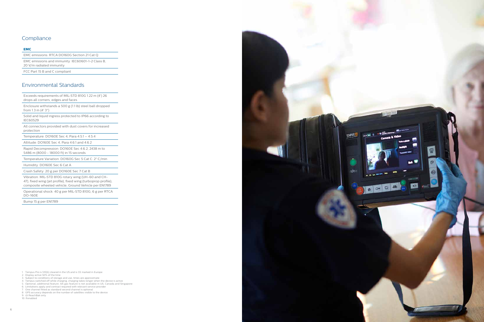



**TEMPUS** 

rd۲

1. Tempus Pro is 510(k) cleared in the US and is CE marked in Europe

- 3. Subject to conditions of storage and use, times are approximate
- 
- 4. Tempus switched off while charging, charging takes longer when the device is active<br>5. Optional, additional feature. AA gas feature is not available in US, Canada and Singapore<br>6. Limitations apply and contract requi
- . One channel fitted as standard second channel is optional
- 8. GPS accuracy depends on the number of satellites visible to the device 9. i2i ReachBak only

10. If enabled

## Compliance

#### **EMC**

EMC emissions: RTCA DO160G Section 21 Cat Q

EMC emissions and immunity: IEC60601-1-2 Class B, 20 V/m radiated immunity

FCC Part 15 B and C compliant

## Environmental Standards

Exceeds requirements of MIL-STD 810G 1.22 m (4') 26 drops all corners, edges and faces

Enclosure withstands a 500 g (1.1 lb) steel ball dropped from 1.3 m (4' 3")

Solid and liquid ingress protected to IP66 according to IEC60529

All connectors provided with dust covers for increased protection

Temperature: DO160E Sec 4, Para 4.5.1 – 4.5.4

Altitude: DO160E Sec 4, Para 4.6.1 and 4.6.2

Rapid Decompression: DO160E Sec 4.6.2, 2438 m to 5486 m (8000 - 18000 ft) in 15 seconds

Temperature Variation: DO160G Sec 5 Cat C: 2° C/min

Humidity: DO160E Sec 6 Cat A

Crash Safety: 20 g per DO160E Sec 7 Cat B

Vibration: MIL-STD 810G rotary wing (UH-60 and CH-47), fixed wing (jet profile), fixed wing (turboprop profile), composite wheeled vehicle; Ground Vehicle per EN1789

Operational shock: 40 g per MIL-STD 810G, 6 g per RTCA DO-160E

Bump 15 g per EN1789

<sup>2.</sup> Display active 50% of the time